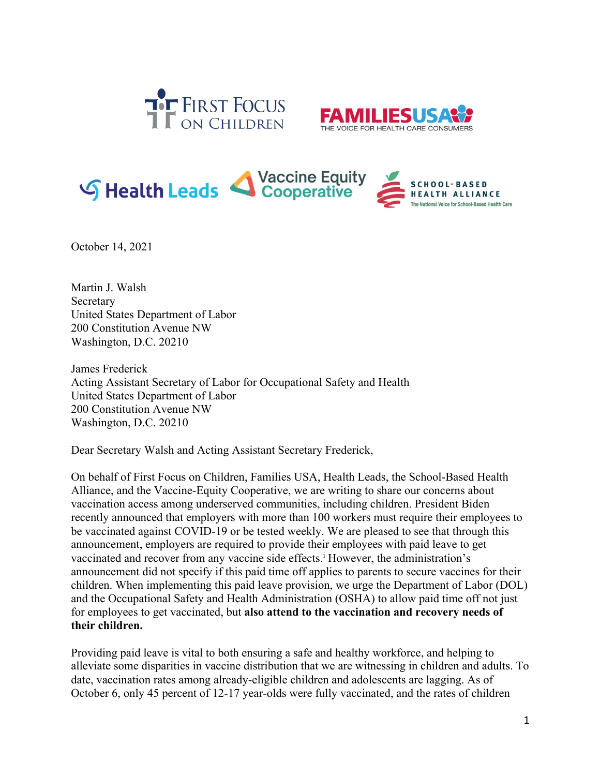





October 14, 2021

Martin J. Walsh Secretary United States Department of Labor 200 Constitution Avenue NW Washington, D.C. 20210

James Frederick Acting Assistant Secretary of Labor for Occupational Safety and Health United States Department of Labor 200 Constitution Avenue NW Washington, D.C. 20210

Dear Secretary Walsh and Acting Assistant Secretary Frederick,

On behalf of First Focus on Children, Families USA, Health Leads, the School-Based Health Alliance, and the Vaccine-Equity Cooperative, we are writing to share our concerns about vaccination access among underserved communities, including children. President Biden recently announced that employers with more than 100 workers must require their employees to be vaccinated against COVID-19 or be tested weekly. We are pleased to see that through this announcement, employers are required to provide their employees with paid leave to get vaccinated and recover from any vaccine side effects.<sup>i</sup> However, the administration's announcement did not specify if this paid time off applies to parents to secure vaccines for their children. When implementing this paid leave provision, we urge the Department of Labor (DOL) and the Occupational Safety and Health Administration (OSHA) to allow paid time off not just for employees to get vaccinated, but **also attend to the vaccination and recovery needs of their children.**

Providing paid leave is vital to both ensuring a safe and healthy workforce, and helping to alleviate some disparities in vaccine distribution that we are witnessing in children and adults. To date, vaccination rates among already-eligible children and adolescents are lagging. As of October 6, only 45 percent of 12-17 year-olds were fully vaccinated, and the rates of children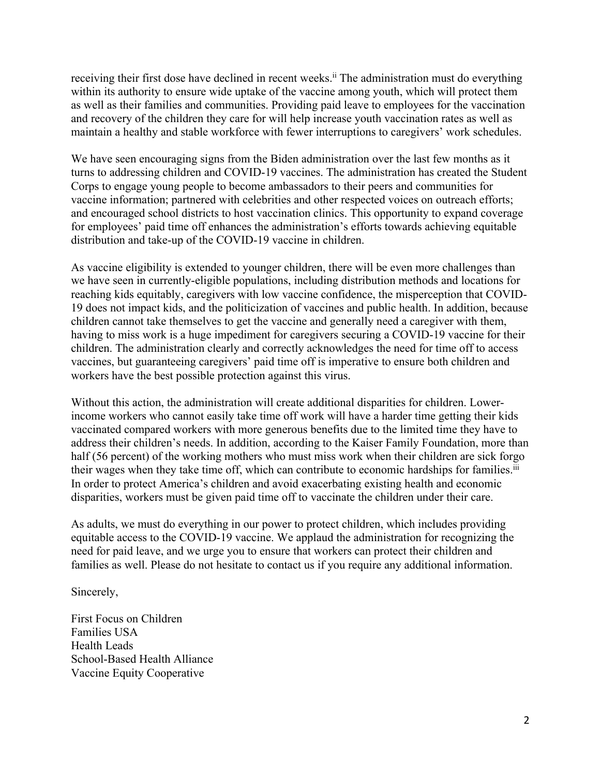receiving their first dose have declined in recent weeks.<sup>ii</sup> The administration must do everything within its authority to ensure wide uptake of the vaccine among youth, which will protect them as well as their families and communities. Providing paid leave to employees for the vaccination and recovery of the children they care for will help increase youth vaccination rates as well as maintain a healthy and stable workforce with fewer interruptions to caregivers' work schedules.

We have seen encouraging signs from the Biden administration over the last few months as it turns to addressing children and COVID-19 vaccines. The administration has created the Student Corps to engage young people to become ambassadors to their peers and communities for vaccine information; partnered with celebrities and other respected voices on outreach efforts; and encouraged school districts to host vaccination clinics. This opportunity to expand coverage for employees' paid time off enhances the administration's efforts towards achieving equitable distribution and take-up of the COVID-19 vaccine in children.

As vaccine eligibility is extended to younger children, there will be even more challenges than we have seen in currently-eligible populations, including distribution methods and locations for reaching kids equitably, caregivers with low vaccine confidence, the misperception that COVID-19 does not impact kids, and the politicization of vaccines and public health. In addition, because children cannot take themselves to get the vaccine and generally need a caregiver with them, having to miss work is a huge impediment for caregivers securing a COVID-19 vaccine for their children. The administration clearly and correctly acknowledges the need for time off to access vaccines, but guaranteeing caregivers' paid time off is imperative to ensure both children and workers have the best possible protection against this virus.

Without this action, the administration will create additional disparities for children. Lowerincome workers who cannot easily take time off work will have a harder time getting their kids vaccinated compared workers with more generous benefits due to the limited time they have to address their children's needs. In addition, according to the Kaiser Family Foundation, more than half (56 percent) of the working mothers who must miss work when their children are sick forgo their wages when they take time off, which can contribute to economic hardships for families.iii In order to protect America's children and avoid exacerbating existing health and economic disparities, workers must be given paid time off to vaccinate the children under their care.

As adults, we must do everything in our power to protect children, which includes providing equitable access to the COVID-19 vaccine. We applaud the administration for recognizing the need for paid leave, and we urge you to ensure that workers can protect their children and families as well. Please do not hesitate to contact us if you require any additional information.

Sincerely,

First Focus on Children Families USA Health Leads School-Based Health Alliance Vaccine Equity Cooperative